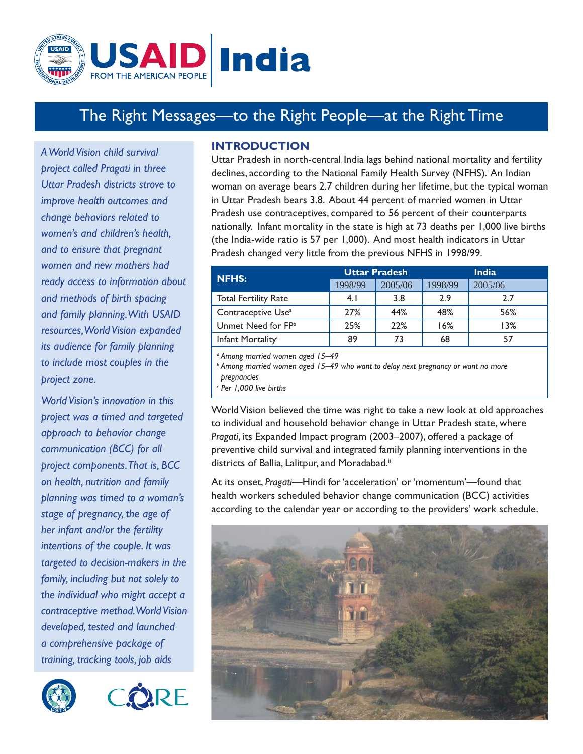

# The Right Messages—to the Right People—at the Right Time

*A World Vision child survival project called Pragati in three Uttar Pradesh districts strove to improve health outcomes and change behaviors related to women's and children's health, and to ensure that pregnant women and new mothers had ready access to information about and methods of birth spacing and family planning. With USAID resources, World Vision expanded its audience for family planning to include most couples in the project zone.*

*World Vision's innovation in this project was a timed and targeted approach to behavior change communication (BCC) for all project components. That is, BCC on health, nutrition and family planning was timed to a woman's stage of pregnancy, the age of her infant and/or the fertility intentions of the couple. It was targeted to decision-makers in the family, including but not solely to the individual who might accept a contraceptive method. World Vision developed, tested and launched a comprehensive package of training, tracking tools, job aids* 





## **INTRODUCTION**

Uttar Pradesh in north-central India lags behind national mortality and fertility declines, according to the National Family Health Survey (NFHS).<sup>;</sup> An Indian woman on average bears 2.7 children during her lifetime, but the typical woman in Uttar Pradesh bears 3.8. About 44 percent of married women in Uttar Pradesh use contraceptives, compared to 56 percent of their counterparts nationally. Infant mortality in the state is high at 73 deaths per 1,000 live births (the India-wide ratio is 57 per 1,000). And most health indicators in Uttar Pradesh changed very little from the previous NFHS in 1998/99.

| <b>NFHS:</b>                   |         | <b>Uttar Pradesh</b> |         | <b>India</b> |
|--------------------------------|---------|----------------------|---------|--------------|
|                                | 1998/99 | 2005/06              | 1998/99 | 2005/06      |
| <b>Total Fertility Rate</b>    | 4.1     | 3.8                  | 2.9     | 2.7          |
| Contraceptive Use <sup>a</sup> | 27%     | 44%                  | 48%     | 56%          |
| Unmet Need for FPb             | 25%     | 22%                  | 16%     | 13%          |
| Infant Mortality <sup>c</sup>  | 89      | 73                   | 68      | 57           |
|                                |         |                      |         |              |

*a Among married women aged 15–49*

*b Among married women aged 15–49 who want to delay next pregnancy or want no more pregnancies*

*c Per 1,000 live births*

World Vision believed the time was right to take a new look at old approaches to individual and household behavior change in Uttar Pradesh state, where *Pragati*, its Expanded Impact program (2003–2007), offered a package of preventive child survival and integrated family planning interventions in the districts of Ballia, Lalitpur, and Moradabad.<sup>ii</sup>

At its onset, *Pragati*—Hindi for 'acceleration' or 'momentum'—found that health workers scheduled behavior change communication (BCC) activities according to the calendar year or according to the providers' work schedule.

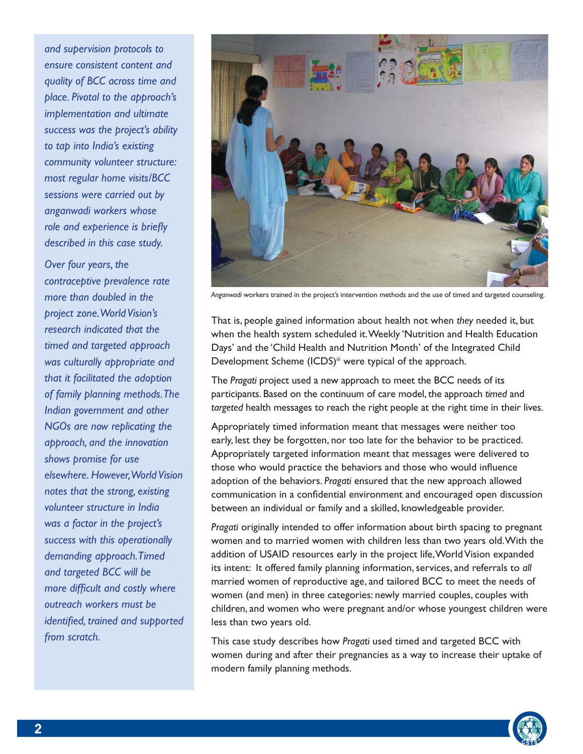*and supervision protocols to ensure consistent content and quality of BCC across time and place. Pivotal to the approach's implementation and ultimate success was the project's ability to tap into India's existing community volunteer structure: most regular home visits/BCC sessions were carried out by anganwadi workers whose*  role and experience is briefly *described in this case study.* 

*Over four years, the contraceptive prevalence rate more than doubled in the project zone. World Vision's research indicated that the timed and targeted approach was culturally appropriate and that it facilitated the adoption of family planning methods. The Indian government and other NGOs are now replicating the approach, and the innovation shows promise for use elsewhere. However, World Vision notes that the strong, existing volunteer structure in India was a factor in the project's success with this operationally demanding approach. Timed and targeted BCC will be more difficult and costly where outreach workers must be identified, trained and supported from scratch.* 



*Anganwadi* workers trained in the project's intervention methods and the use of timed and targeted counseling.

That is, people gained information about health not when *they* needed it, but when the health system scheduled it. Weekly 'Nutrition and Health Education Days' and the 'Child Health and Nutrition Month' of the Integrated Child Development Scheme (ICDS)<sup>ii</sup> were typical of the approach.

The *Pragati* project used a new approach to meet the BCC needs of its participants. Based on the continuum of care model, the approach *timed* and *targeted* health messages to reach the right people at the right time in their lives.

Appropriately timed information meant that messages were neither too early, lest they be forgotten, nor too late for the behavior to be practiced. Appropriately targeted information meant that messages were delivered to those who would practice the behaviors and those who would influence adoption of the behaviors. *Pragati* ensured that the new approach allowed communication in a confidential environment and encouraged open discussion between an individual or family and a skilled, knowledgeable provider.

*Pragati* originally intended to offer information about birth spacing to pregnant women and to married women with children less than two years old. With the addition of USAID resources early in the project life, World Vision expanded its intent: It offered family planning information, services, and referrals to *all* married women of reproductive age, and tailored BCC to meet the needs of women (and men) in three categories: newly married couples, couples with children, and women who were pregnant and/or whose youngest children were less than two years old.

This case study describes how *Pragati* used timed and targeted BCC with women during and after their pregnancies as a way to increase their uptake of modern family planning methods.

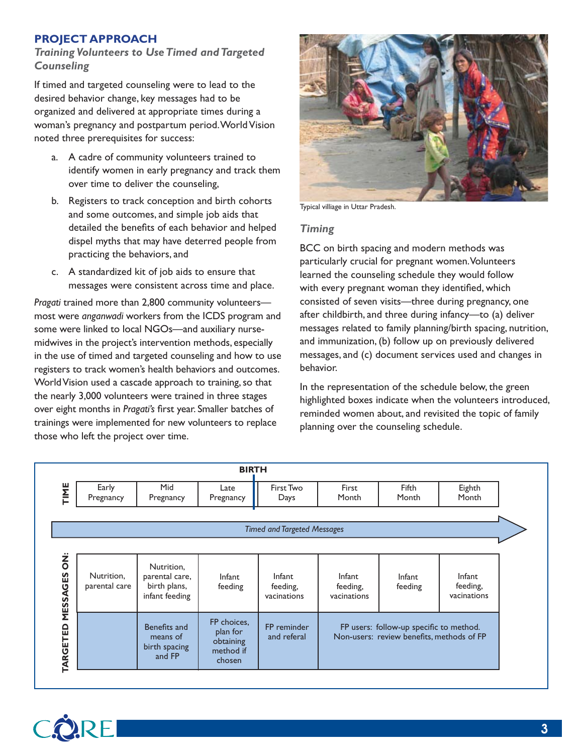## **PROJECT APPROACH**

## *Training Volunteers to Use Timed and Targeted Counseling*

If timed and targeted counseling were to lead to the desired behavior change, key messages had to be organized and delivered at appropriate times during a woman's pregnancy and postpartum period. World Vision noted three prerequisites for success:

- a. A cadre of community volunteers trained to identify women in early pregnancy and track them over time to deliver the counseling,
- b. Registers to track conception and birth cohorts and some outcomes, and simple job aids that detailed the benefits of each behavior and helped dispel myths that may have deterred people from practicing the behaviors, and
- c. A standardized kit of job aids to ensure that messages were consistent across time and place.

*Pragati* trained more than 2,800 community volunteers most were *anganwadi* workers from the ICDS program and some were linked to local NGOs—and auxiliary nursemidwives in the project's intervention methods, especially in the use of timed and targeted counseling and how to use registers to track women's health behaviors and outcomes. World Vision used a cascade approach to training, so that the nearly 3,000 volunteers were trained in three stages over eight months in *Pragati's* first year. Smaller batches of trainings were implemented for new volunteers to replace those who left the project over time.



Typical villiage in Uttar Pradesh.

## *Timing*

BCC on birth spacing and modern methods was particularly crucial for pregnant women. Volunteers learned the counseling schedule they would follow with every pregnant woman they identified, which consisted of seven visits—three during pregnancy, one after childbirth, and three during infancy—to (a) deliver messages related to family planning/birth spacing, nutrition, and immunization, (b) follow up on previously delivered messages, and (c) document services used and changes in behavior.

In the representation of the schedule below, the green highlighted boxes indicate when the volunteers introduced, reminded women about, and revisited the topic of family planning over the counseling schedule.

| <b>BIRTH</b>       |                             |                                                                |                                                             |                                          |                                                                                      |                   |                                          |  |  |
|--------------------|-----------------------------|----------------------------------------------------------------|-------------------------------------------------------------|------------------------------------------|--------------------------------------------------------------------------------------|-------------------|------------------------------------------|--|--|
| TIME               | Early<br>Pregnancy          | Mid<br>Pregnancy                                               | Late<br>Pregnancy                                           | First Two<br>First<br>Month<br>Days      |                                                                                      | Fifth<br>Month    | Eighth<br>Month                          |  |  |
|                    |                             |                                                                |                                                             | <b>Timed and Targeted Messages</b>       |                                                                                      |                   |                                          |  |  |
|                    |                             |                                                                |                                                             |                                          |                                                                                      |                   |                                          |  |  |
| Ż<br>O<br>MESSAGES | Nutrition,<br>parental care | Nutrition.<br>parental care,<br>birth plans,<br>infant feeding | Infant<br>feeding                                           | <b>Infant</b><br>feeding,<br>vacinations | Infant<br>feeding,<br>vacinations                                                    | Infant<br>feeding | <b>Infant</b><br>feeding,<br>vacinations |  |  |
| <b>TARGETED</b>    |                             | Benefits and<br>means of<br>birth spacing<br>and FP            | FP choices,<br>plan for<br>obtaining<br>method if<br>chosen | FP reminder<br>and referal               | FP users: follow-up specific to method.<br>Non-users: review benefits, methods of FP |                   |                                          |  |  |

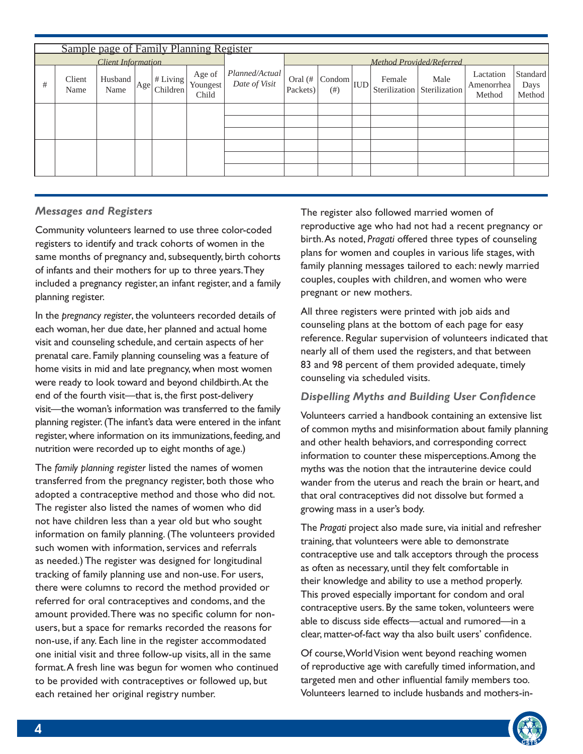|                           | Sample page of Family Planning Register |                 |     |                              |                                            |                                 |                        |                                             |  |        |                                     |                                   |                            |
|---------------------------|-----------------------------------------|-----------------|-----|------------------------------|--------------------------------------------|---------------------------------|------------------------|---------------------------------------------|--|--------|-------------------------------------|-----------------------------------|----------------------------|
| <b>Client Information</b> |                                         |                 |     |                              | Method Provided/Referred                   |                                 |                        |                                             |  |        |                                     |                                   |                            |
| #                         | Client<br>Name                          | Husband<br>Name | Age | $ $ # Living $ $<br>Children | Age of<br>  Youngest <sup>1</sup><br>Child | Planned/Actual<br>Date of Visit | Oral $(\#$<br>Packets) | $\sim  \text{Condom} _{\text{IUD}}$<br>(# ) |  | Female | Male<br>Sterilization Sterilization | Lactation<br>Amenorrhea<br>Method | Standard<br>Days<br>Method |
|                           |                                         |                 |     |                              |                                            |                                 |                        |                                             |  |        |                                     |                                   |                            |
|                           |                                         |                 |     |                              |                                            |                                 |                        |                                             |  |        |                                     |                                   |                            |
|                           |                                         |                 |     |                              |                                            |                                 |                        |                                             |  |        |                                     |                                   |                            |
|                           |                                         |                 |     |                              |                                            |                                 |                        |                                             |  |        |                                     |                                   |                            |
|                           |                                         |                 |     |                              |                                            |                                 |                        |                                             |  |        |                                     |                                   |                            |
|                           |                                         |                 |     |                              |                                            |                                 |                        |                                             |  |        |                                     |                                   |                            |

## *Messages and Registers*

Community volunteers learned to use three color-coded registers to identify and track cohorts of women in the same months of pregnancy and, subsequently, birth cohorts of infants and their mothers for up to three years. They included a pregnancy register, an infant register, and a family planning register.

In the *pregnancy register*, the volunteers recorded details of each woman, her due date, her planned and actual home visit and counseling schedule, and certain aspects of her prenatal care. Family planning counseling was a feature of home visits in mid and late pregnancy, when most women were ready to look toward and beyond childbirth. At the end of the fourth visit—that is, the first post-delivery visit—the woman's information was transferred to the family planning register. (The infant's data were entered in the infant register, where information on its immunizations, feeding, and nutrition were recorded up to eight months of age.)

The *family planning register* listed the names of women transferred from the pregnancy register, both those who adopted a contraceptive method and those who did not. The register also listed the names of women who did not have children less than a year old but who sought information on family planning. (The volunteers provided such women with information, services and referrals as needed.) The register was designed for longitudinal tracking of family planning use and non-use. For users, there were columns to record the method provided or referred for oral contraceptives and condoms, and the amount provided. There was no specific column for nonusers, but a space for remarks recorded the reasons for non-use, if any. Each line in the register accommodated one initial visit and three follow-up visits, all in the same format. A fresh line was begun for women who continued to be provided with contraceptives or followed up, but each retained her original registry number.

The register also followed married women of reproductive age who had not had a recent pregnancy or birth. As noted, *Pragati* offered three types of counseling plans for women and couples in various life stages, with family planning messages tailored to each: newly married couples, couples with children, and women who were pregnant or new mothers.

All three registers were printed with job aids and counseling plans at the bottom of each page for easy reference. Regular supervision of volunteers indicated that nearly all of them used the registers, and that between 83 and 98 percent of them provided adequate, timely counseling via scheduled visits.

## **Dispelling Myths and Building User Confidence**

Volunteers carried a handbook containing an extensive list of common myths and misinformation about family planning and other health behaviors, and corresponding correct information to counter these misperceptions. Among the myths was the notion that the intrauterine device could wander from the uterus and reach the brain or heart, and that oral contraceptives did not dissolve but formed a growing mass in a user's body.

The *Pragati* project also made sure, via initial and refresher training, that volunteers were able to demonstrate contraceptive use and talk acceptors through the process as often as necessary, until they felt comfortable in their knowledge and ability to use a method properly. This proved especially important for condom and oral contraceptive users. By the same token, volunteers were able to discuss side effects—actual and rumored—in a clear, matter-of-fact way tha also built users' confidence.

Of course, World Vision went beyond reaching women of reproductive age with carefully timed information, and targeted men and other influential family members too. Volunteers learned to include husbands and mothers-in-

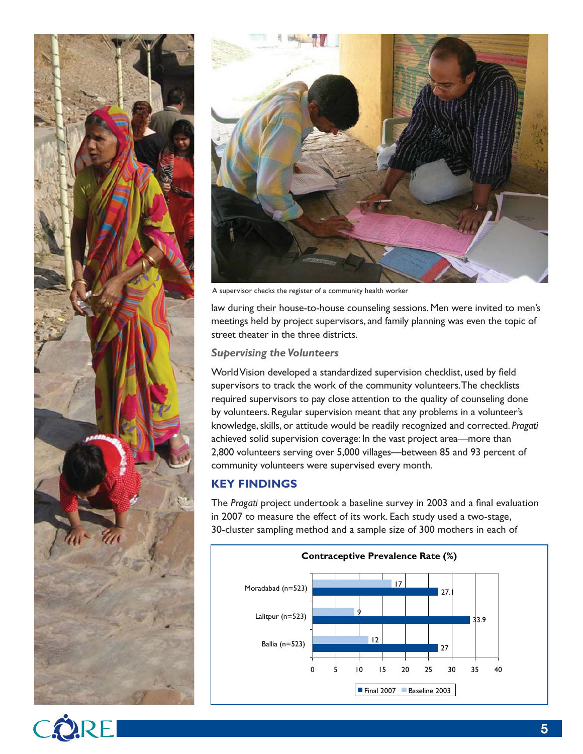



A supervisor checks the register of a community health worker

law during their house-to-house counseling sessions. Men were invited to men's meetings held by project supervisors, and family planning was even the topic of street theater in the three districts.

#### *Supervising the Volunteers*

World Vision developed a standardized supervision checklist, used by field supervisors to track the work of the community volunteers. The checklists required supervisors to pay close attention to the quality of counseling done by volunteers. Regular supervision meant that any problems in a volunteer's knowledge, skills, or attitude would be readily recognized and corrected. *Pragati* achieved solid supervision coverage: In the vast project area—more than 2,800 volunteers serving over 5,000 villages—between 85 and 93 percent of community volunteers were supervised every month.

## **KEY FINDINGS**

The Pragati project undertook a baseline survey in 2003 and a final evaluation in 2007 to measure the effect of its work. Each study used a two-stage, 30-cluster sampling method and a sample size of 300 mothers in each of



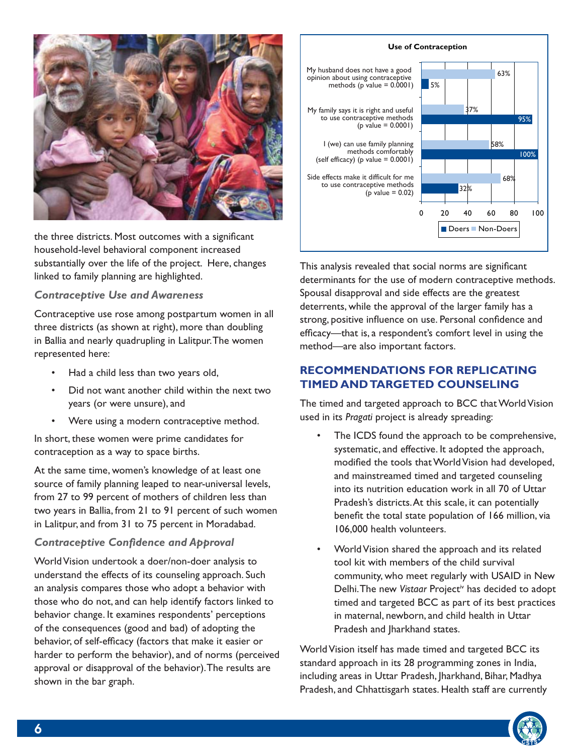

the three districts. Most outcomes with a significant household-level behavioral component increased substantially over the life of the project. Here, changes linked to family planning are highlighted.

## *Contraceptive Use and Awareness*

Contraceptive use rose among postpartum women in all three districts (as shown at right), more than doubling in Ballia and nearly quadrupling in Lalitpur. The women represented here:

- Had a child less than two years old,
- Did not want another child within the next two years (or were unsure), and
- Were using a modern contraceptive method.

In short, these women were prime candidates for contraception as a way to space births.

At the same time, women's knowledge of at least one source of family planning leaped to near-universal levels, from 27 to 99 percent of mothers of children less than two years in Ballia, from 21 to 91 percent of such women in Lalitpur, and from 31 to 75 percent in Moradabad.

### **Contraceptive Confidence and Approval**

World Vision undertook a doer/non-doer analysis to understand the effects of its counseling approach. Such an analysis compares those who adopt a behavior with those who do not, and can help identify factors linked to behavior change. It examines respondents' perceptions of the consequences (good and bad) of adopting the behavior, of self-efficacy (factors that make it easier or harder to perform the behavior), and of norms (perceived approval or disapproval of the behavior). The results are shown in the bar graph.

#### **Use of Contraception**



This analysis revealed that social norms are significant determinants for the use of modern contraceptive methods. Spousal disapproval and side effects are the greatest deterrents, while the approval of the larger family has a strong, positive influence on use. Personal confidence and efficacy—that is, a respondent's comfort level in using the method—are also important factors.

## **RECOMMENDATIONS FOR REPLICATING TIMED AND TARGETED COUNSELING**

The timed and targeted approach to BCC that World Vision used in its *Pragati* project is already spreading:

- The ICDS found the approach to be comprehensive, systematic, and effective. It adopted the approach, modified the tools that World Vision had developed, and mainstreamed timed and targeted counseling into its nutrition education work in all 70 of Uttar Pradesh's districts. At this scale, it can potentially benefit the total state population of 166 million, via 106,000 health volunteers.
- World Vision shared the approach and its related tool kit with members of the child survival community, who meet regularly with USAID in New Delhi. The new Vistaar Project<sup>iv</sup> has decided to adopt timed and targeted BCC as part of its best practices in maternal, newborn, and child health in Uttar Pradesh and Jharkhand states.

World Vision itself has made timed and targeted BCC its standard approach in its 28 programming zones in India, including areas in Uttar Pradesh, Jharkhand, Bihar, Madhya Pradesh, and Chhattisgarh states. Health staff are currently

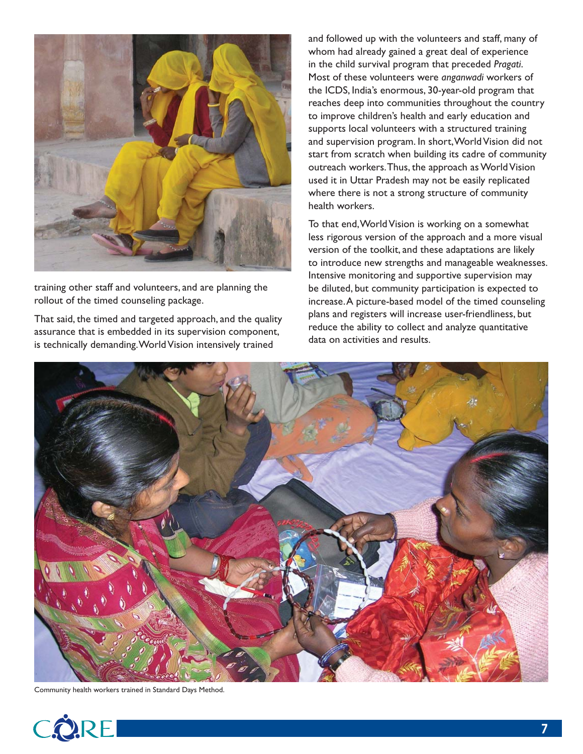

training other staff and volunteers, and are planning the rollout of the timed counseling package.

That said, the timed and targeted approach, and the quality assurance that is embedded in its supervision component, is technically demanding. World Vision intensively trained

and followed up with the volunteers and staff, many of whom had already gained a great deal of experience in the child survival program that preceded *Pragati*. Most of these volunteers were *anganwadi* workers of the ICDS, India's enormous, 30-year-old program that reaches deep into communities throughout the country to improve children's health and early education and supports local volunteers with a structured training and supervision program. In short, World Vision did not start from scratch when building its cadre of community outreach workers. Thus, the approach as World Vision used it in Uttar Pradesh may not be easily replicated where there is not a strong structure of community health workers.

To that end, World Vision is working on a somewhat less rigorous version of the approach and a more visual version of the toolkit, and these adaptations are likely to introduce new strengths and manageable weaknesses. Intensive monitoring and supportive supervision may be diluted, but community participation is expected to increase. A picture-based model of the timed counseling plans and registers will increase user-friendliness, but reduce the ability to collect and analyze quantitative data on activities and results.



Community health workers trained in Standard Days Method.